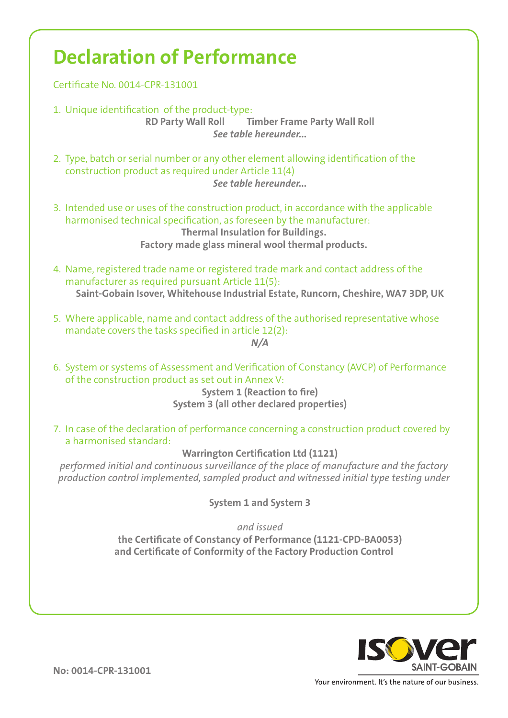## **Declaration of Performance**

Certificate No. 0014-CPR-131001

1. Unique identification of the product-type:

**RD Party Wall Roll Timber Frame Party Wall Roll** *See table hereunder...*

- 2. Type, batch or serial number or any other element allowing identification of the construction product as required under Article 11(4) *See table hereunder...*
- 3. Intended use or uses of the construction product, in accordance with the applicable harmonised technical specification, as foreseen by the manufacturer: **Thermal Insulation for Buildings. Factory made glass mineral wool thermal products.**
- 4. Name, registered trade name or registered trade mark and contact address of the manufacturer as required pursuant Article 11(5): **Saint-Gobain Isover, Whitehouse Industrial Estate, Runcorn, Cheshire, WA7 3DP, UK**
- 5. Where applicable, name and contact address of the authorised representative whose mandate covers the tasks specified in article 12(2): *N/A*
- 6. System or systems of Assessment and Verification of Constancy (AVCP) of Performance of the construction product as set out in Annex V:

**System 1 (Reaction to fire) System 3 (all other declared properties)**

7. In case of the declaration of performance concerning a construction product covered by a harmonised standard:

**Warrington Certification Ltd (1121)**

*performed initial and continuous surveillance of the place of manufacture and the factory production control implemented, sampled product and witnessed initial type testing under*

**System 1 and System 3**

*and issued* **the Certificate of Constancy of Performance (1121-CPD-BA0053) and Certificate of Conformity of the Factory Production Control**



**No: 0014-CPR-131001**

Your environment. It's the nature of our business.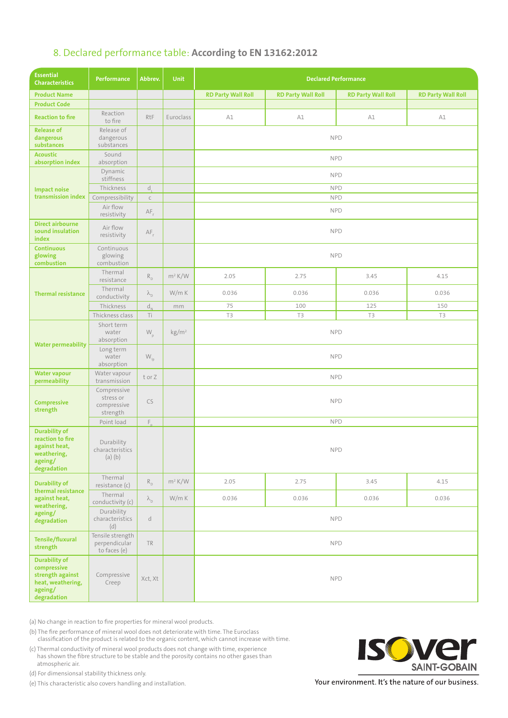## 8. Declared performance table: **According to EN 13162:2012**

| <b>Essential</b><br><b>Characteristics</b>                                                             | Performance                                         | Abbrev.                                     | <b>Unit</b>            | <b>Declared Performance</b> |                           |                           |                           |  |
|--------------------------------------------------------------------------------------------------------|-----------------------------------------------------|---------------------------------------------|------------------------|-----------------------------|---------------------------|---------------------------|---------------------------|--|
| <b>Product Name</b>                                                                                    |                                                     |                                             |                        | <b>RD Party Wall Roll</b>   | <b>RD Party Wall Roll</b> | <b>RD Party Wall Roll</b> | <b>RD Party Wall Roll</b> |  |
| <b>Product Code</b>                                                                                    |                                                     |                                             |                        |                             |                           |                           |                           |  |
| <b>Reaction to fire</b>                                                                                | Reaction<br>to fire                                 | RtF                                         | Euroclass              | A1                          | A1                        | A1                        | A1                        |  |
| <b>Release of</b><br>dangerous<br>substances                                                           | Release of<br>dangerous<br>substances               |                                             |                        | <b>NPD</b>                  |                           |                           |                           |  |
| <b>Acoustic</b><br>absorption index                                                                    | Sound<br>absorption                                 |                                             |                        | <b>NPD</b>                  |                           |                           |                           |  |
| <b>Impact noise</b><br>transmission index                                                              | Dynamic<br>stiffness                                |                                             |                        | <b>NPD</b>                  |                           |                           |                           |  |
|                                                                                                        | Thickness                                           | d,                                          |                        | <b>NPD</b>                  |                           |                           |                           |  |
|                                                                                                        | Compressibility                                     | $\subset$                                   |                        | <b>NPD</b>                  |                           |                           |                           |  |
|                                                                                                        | Air flow<br>resistivity                             | $AF_r$                                      |                        | <b>NPD</b>                  |                           |                           |                           |  |
| <b>Direct airbourne</b><br>sound insulation<br>index                                                   | Air flow<br>resistivity                             | $AF_r$                                      |                        | <b>NPD</b>                  |                           |                           |                           |  |
| <b>Continuous</b><br>glowing<br>combustion                                                             | Continuous<br>glowing<br>combustion                 |                                             |                        | <b>NPD</b>                  |                           |                           |                           |  |
| <b>Thermal resistance</b>                                                                              | Thermal<br>resistance                               | $\mathsf{R}_{\scriptscriptstyle\mathsf{D}}$ | $m^2 K/W$              | 2.05                        | 2.75                      | 3.45                      | 4.15                      |  |
|                                                                                                        | Thermal<br>conductivity                             | $\lambda_{\text{D}}$                        | W/m K                  | 0.036                       | 0.036                     | 0.036                     | 0.036                     |  |
|                                                                                                        | Thickness                                           | $d_{N}$                                     | mm                     | 75                          | 100                       | 125                       | 150                       |  |
|                                                                                                        | Thickness class                                     | Τi                                          |                        | T3                          | T3                        | T3                        | T3                        |  |
| <b>Water permeability</b>                                                                              | Short term<br>water<br>absorption                   | $\mathsf{W}_{\mathsf{p}}$                   | $\text{kg}/\text{m}^2$ | <b>NPD</b>                  |                           |                           |                           |  |
|                                                                                                        | Long term<br>water<br>absorption                    | $\mathsf{W}_{\mathsf{lp}}$                  |                        | <b>NPD</b>                  |                           |                           |                           |  |
| <b>Water vapour</b><br>permeability                                                                    | Water vapour<br>transmission                        | torZ                                        |                        | <b>NPD</b>                  |                           |                           |                           |  |
| <b>Compressive</b><br>strength                                                                         | Compressive<br>stress or<br>compressive<br>strength | CS                                          |                        | <b>NPD</b>                  |                           |                           |                           |  |
|                                                                                                        | Point load                                          | $F_{n}$                                     |                        | <b>NPD</b>                  |                           |                           |                           |  |
| <b>Durability of</b><br>reaction to fire<br>against heat,<br>weathering,<br>ageing/<br>degradation     | Durability<br>characteristics<br>$(a)$ $(b)$        |                                             |                        | <b>NPD</b>                  |                           |                           |                           |  |
| <b>Durability of</b><br>thermal resistance<br>against heat,<br>weathering,<br>ageing/<br>degradation   | Thermal<br>resistance (c)                           | $R_{_{\rm D}}$                              | $m^2 K/W$              | 2.05                        | 2.75                      | 3.45                      | 4.15                      |  |
|                                                                                                        | Thermal<br>conductivity (c)                         | $\lambda_{\text{D}}$                        | W/m K                  | 0.036                       | 0.036                     | 0.036                     | 0.036                     |  |
|                                                                                                        | Durability<br>characteristics<br>(d)                | $\mathsf{d}$                                |                        | <b>NPD</b>                  |                           |                           |                           |  |
| <b>Tensile/fluxural</b><br>strength                                                                    | Tensile strength<br>perpendicular<br>to faces (e)   | TR                                          |                        | <b>NPD</b>                  |                           |                           |                           |  |
| <b>Durability of</b><br>compressive<br>strength against<br>heat, weathering,<br>ageing/<br>degradation | Compressive<br>Creep                                | Xct, Xt                                     |                        | <b>NPD</b>                  |                           |                           |                           |  |

(a) No change in reaction to fire properties for mineral wool products.

(b) The fire performance of mineral wool does not deteriorate with time. The Euroclass classification of the product is related to the organic content, which cannot increase with time.

(c) Thermal conductivity of mineral wool products does not change with time, experience has shown the fibre structure to be stable and the porosity contains no other gases than atmospheric air.

(d) For dimensionsal stability thickness only.

(e) This characteristic also covers handling and installation.



Your environment. It's the nature of our business.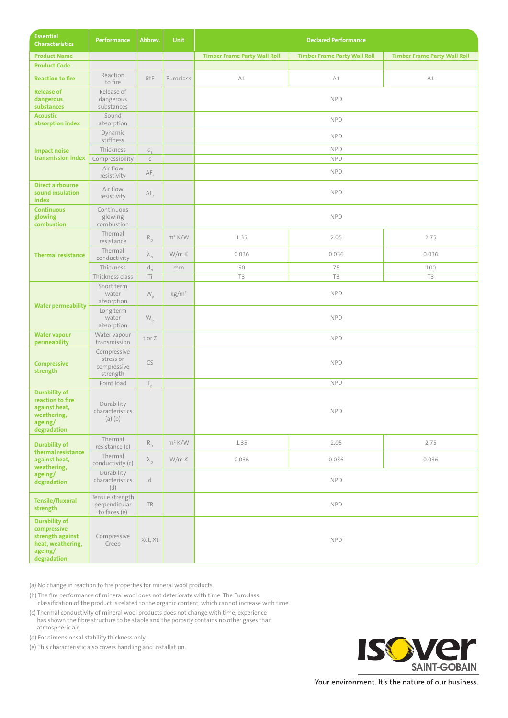| <b>Essential</b><br><b>Characteristics</b>                                                             | <b>Performance</b>                                  | Abbrev.                       | <b>Unit</b>            | <b>Declared Performance</b>         |                                     |                                     |  |  |
|--------------------------------------------------------------------------------------------------------|-----------------------------------------------------|-------------------------------|------------------------|-------------------------------------|-------------------------------------|-------------------------------------|--|--|
| <b>Product Name</b>                                                                                    |                                                     |                               |                        | <b>Timber Frame Party Wall Roll</b> | <b>Timber Frame Party Wall Roll</b> | <b>Timber Frame Party Wall Roll</b> |  |  |
| <b>Product Code</b>                                                                                    |                                                     |                               |                        |                                     |                                     |                                     |  |  |
| <b>Reaction to fire</b>                                                                                | Reaction<br>to fire                                 | RtF                           | Euroclass              | A1                                  | A1                                  | A1                                  |  |  |
| <b>Release of</b><br>dangerous<br>substances                                                           | Release of<br>dangerous<br>substances               |                               |                        | <b>NPD</b>                          |                                     |                                     |  |  |
| <b>Acoustic</b><br>absorption index                                                                    | Sound<br>absorption                                 |                               |                        | <b>NPD</b>                          |                                     |                                     |  |  |
| <b>Impact noise</b><br>transmission index                                                              | Dynamic<br>stiffness                                |                               |                        | <b>NPD</b>                          |                                     |                                     |  |  |
|                                                                                                        | Thickness                                           | d,                            |                        | <b>NPD</b>                          |                                     |                                     |  |  |
|                                                                                                        | Compressibility                                     | $\subset$                     |                        | <b>NPD</b>                          |                                     |                                     |  |  |
|                                                                                                        | Air flow<br>resistivity                             | $AF_r$                        |                        | <b>NPD</b>                          |                                     |                                     |  |  |
| <b>Direct airbourne</b><br>sound insulation<br>index                                                   | Air flow<br>resistivity                             | $AF_r$                        |                        | <b>NPD</b>                          |                                     |                                     |  |  |
| <b>Continuous</b><br>glowing<br>combustion                                                             | Continuous<br>glowing<br>combustion                 |                               |                        | <b>NPD</b>                          |                                     |                                     |  |  |
| <b>Thermal resistance</b>                                                                              | Thermal<br>resistance                               | $R_{\scriptscriptstyle\rm D}$ | $m^2 K/W$              | 1.35                                | 2.05                                | 2.75                                |  |  |
|                                                                                                        | Thermal<br>conductivity                             | $\lambda_{\text{D}}$          | W/m K                  | 0.036                               | 0.036                               | 0.036                               |  |  |
|                                                                                                        | Thickness                                           | $d_{N}$                       | mm                     | 50                                  | 75                                  | 100                                 |  |  |
|                                                                                                        | Thickness class                                     | Τi                            |                        | T3                                  | T3                                  | T3                                  |  |  |
| <b>Water permeability</b>                                                                              | Short term<br>water<br>absorption                   | $\mathsf{W}_{\mathsf{p}}$     | $\text{kg}/\text{m}^2$ | <b>NPD</b>                          |                                     |                                     |  |  |
|                                                                                                        | Long term<br>water<br>absorption                    | $\mathsf{W}_{\mathsf{lp}}$    |                        | <b>NPD</b>                          |                                     |                                     |  |  |
| <b>Water vapour</b><br>permeability                                                                    | Water vapour<br>transmission                        | torZ                          |                        | <b>NPD</b>                          |                                     |                                     |  |  |
| <b>Compressive</b><br>strength                                                                         | Compressive<br>stress or<br>compressive<br>strength | CS                            |                        | <b>NPD</b>                          |                                     |                                     |  |  |
|                                                                                                        | Point load                                          | $F_n$                         |                        | <b>NPD</b>                          |                                     |                                     |  |  |
| <b>Durability of</b><br>reaction to fire<br>against heat,<br>weathering,<br>ageing/<br>degradation     | Durability<br>characteristics<br>$(a)$ $(b)$        |                               |                        | NPD                                 |                                     |                                     |  |  |
| <b>Durability of</b><br>thermal resistance<br>against heat,<br>weathering,<br>ageing/<br>degradation   | Thermal<br>resistance (c)                           | $R_{_{\rm D}}$                | $m^2 K/W$              | 1.35                                | 2.05                                | 2.75                                |  |  |
|                                                                                                        | Thermal<br>conductivity (c)                         | $\lambda_{\text{D}}$          | W/m K                  | 0.036                               | 0.036                               | 0.036                               |  |  |
|                                                                                                        | Durability<br>characteristics<br>(d)                | $\operatorname{\mathsf{d}}$   |                        | <b>NPD</b>                          |                                     |                                     |  |  |
| <b>Tensile/fluxural</b><br>strength                                                                    | Tensile strength<br>perpendicular<br>to faces (e)   | TR                            |                        | <b>NPD</b>                          |                                     |                                     |  |  |
| <b>Durability of</b><br>compressive<br>strength against<br>heat, weathering,<br>ageing/<br>degradation | Compressive<br>Creep                                | Xct, Xt                       |                        | <b>NPD</b>                          |                                     |                                     |  |  |

(a) No change in reaction to fire properties for mineral wool products.

(b) The fire performance of mineral wool does not deteriorate with time. The Euroclass classification of the product is related to the organic content, which cannot increase with time.

(c) Thermal conductivity of mineral wool products does not change with time, experience has shown the fibre structure to be stable and the porosity contains no other gases than atmospheric air.

(d) For dimensionsal stability thickness only.

(e) This characteristic also covers handling and installation.



Your environment. It's the nature of our business.